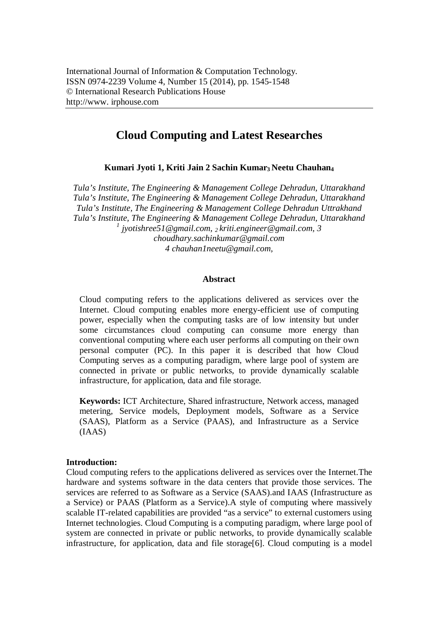# **Cloud Computing and Latest Researches**

**Kumari Jyoti 1, Kriti Jain 2 Sachin Kumar<sup>3</sup> Neetu Chauhan<sup>4</sup>**

*Tula's Institute, The Engineering & Management College Dehradun, Uttarakhand Tula's Institute, The Engineering & Management College Dehradun, Uttarakhand Tula's Institute, The Engineering & Management College Dehradun Uttrakhand Tula's Institute, The Engineering & Management College Dehradun, Uttarakhand 1 jyotishree51@gmail.com, <sup>2</sup> kriti.engineer@gmail.com, 3 choudhary.sachinkumar@gmail.com 4 chauhan1neetu@gmail.com,* 

### **Abstract**

Cloud computing refers to the applications delivered as services over the Internet. Cloud computing enables more energy-efficient use of computing power, especially when the computing tasks are of low intensity but under some circumstances cloud computing can consume more energy than conventional computing where each user performs all computing on their own personal computer (PC). In this paper it is described that how Cloud Computing serves as a computing paradigm, where large pool of system are connected in private or public networks, to provide dynamically scalable infrastructure, for application, data and file storage.

**Keywords:** ICT Architecture, Shared infrastructure, Network access, managed metering, Service models, Deployment models, Software as a Service (SAAS), Platform as a Service (PAAS), and Infrastructure as a Service (IAAS)

#### **Introduction:**

Cloud computing refers to the applications delivered as services over the Internet.The hardware and systems software in the data centers that provide those services. The services are referred to as Software as a Service (SAAS).and IAAS (Infrastructure as a Service) or PAAS (Platform as a Service).A style of computing where massively scalable IT-related capabilities are provided "as a service" to external customers using Internet technologies. Cloud Computing is a computing paradigm, where large pool of system are connected in private or public networks, to provide dynamically scalable infrastructure, for application, data and file storage[6]. Cloud computing is a model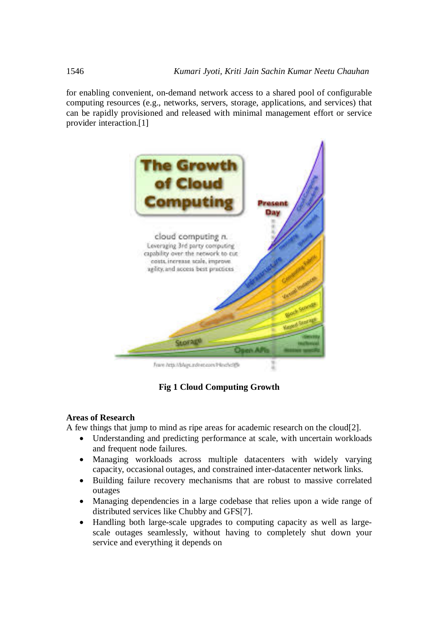for enabling convenient, on-demand network access to a shared pool of configurable computing resources (e.g., networks, servers, storage, applications, and services) that can be rapidly provisioned and released with minimal management effort or service provider interaction.[1]



Frare http://plays.indexp.com/HexholdSk

**Fig 1 Cloud Computing Growth**

#### **Areas of Research**

A few things that jump to mind as ripe areas for academic research on the cloud[2].

- Understanding and predicting performance at scale, with uncertain workloads and frequent node failures.
- Managing workloads across multiple datacenters with widely varying capacity, occasional outages, and constrained inter-datacenter network links.
- Building failure recovery mechanisms that are robust to massive correlated outages
- Managing dependencies in a large codebase that relies upon a wide range of distributed services like Chubby and GFS[7].
- Handling both large-scale upgrades to computing capacity as well as largescale outages seamlessly, without having to completely shut down your service and everything it depends on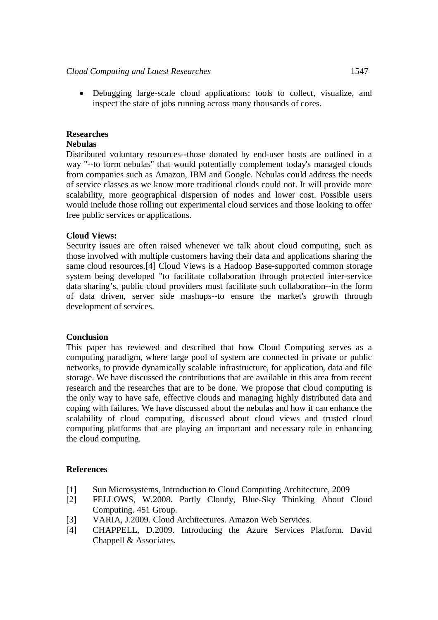Debugging large-scale cloud applications: tools to collect, visualize, and inspect the state of jobs running across many thousands of cores.

## **Researches**

## **Nebulas**

Distributed voluntary resources--those donated by end-user hosts are outlined in a way "--to form nebulas" that would potentially complement today's managed clouds from companies such as Amazon, IBM and Google. Nebulas could address the needs of service classes as we know more traditional clouds could not. It will provide more scalability, more geographical dispersion of nodes and lower cost. Possible users would include those rolling out experimental cloud services and those looking to offer free public services or applications.

## **Cloud Views:**

Security issues are often raised whenever we talk about cloud computing, such as those involved with multiple customers having their data and applications sharing the same cloud resources.[4] Cloud Views is a Hadoop Base-supported common storage system being developed "to facilitate collaboration through protected inter-service data sharing's, public cloud providers must facilitate such collaboration--in the form of data driven, server side mashups--to ensure the market's growth through development of services.

### **Conclusion**

This paper has reviewed and described that how Cloud Computing serves as a computing paradigm, where large pool of system are connected in private or public networks, to provide dynamically scalable infrastructure, for application, data and file storage. We have discussed the contributions that are available in this area from recent research and the researches that are to be done. We propose that cloud computing is the only way to have safe, effective clouds and managing highly distributed data and coping with failures. We have discussed about the nebulas and how it can enhance the scalability of cloud computing, discussed about cloud views and trusted cloud computing platforms that are playing an important and necessary role in enhancing the cloud computing.

### **References**

- [1] Sun Microsystems, Introduction to Cloud Computing Architecture, 2009
- [2] FELLOWS, W.2008. Partly Cloudy, Blue-Sky Thinking About Cloud Computing. 451 Group.
- [3] VARIA, J.2009. Cloud Architectures. Amazon Web Services.
- [4] CHAPPELL, D.2009. Introducing the Azure Services Platform. David Chappell & Associates.